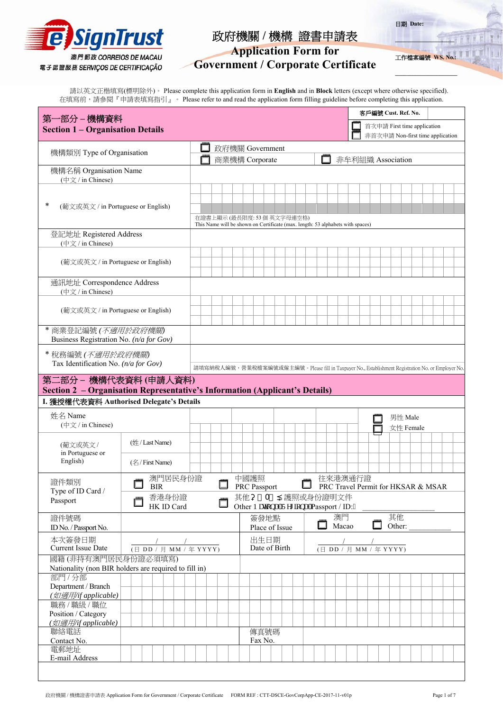

# **Application Form for**

工作檔**案編號** 

**\_\_\_\_\_\_\_\_\_\_\_\_\_\_\_\_\_** 

**\_\_\_\_\_\_\_\_\_\_\_\_\_\_\_\_\_\_\_\_\_**

日期 **Date:** 

# **Government / Corporate Certificate**

請以英文正楷填寫(標明除外)。 Please complete this application form in **English** and in **Block** letters (except where otherwise specified). 在填寫前,請參閱『申請表填寫指引』。 Please refer to and read the application form filling guideline before completing this application.

| 第一部分 – 機構資料                                                                 |                                  |  |  |                                                                                                             |                                                                                                   |                |  |           |  |                   |                                    | 客戶編號 Cust. Ref. No. |  |        |                                  |  |  |  |
|-----------------------------------------------------------------------------|----------------------------------|--|--|-------------------------------------------------------------------------------------------------------------|---------------------------------------------------------------------------------------------------|----------------|--|-----------|--|-------------------|------------------------------------|---------------------|--|--------|----------------------------------|--|--|--|
| <b>Section 1 - Organisation Details</b>                                     |                                  |  |  |                                                                                                             |                                                                                                   |                |  |           |  |                   |                                    |                     |  |        | 首次申請 First time application      |  |  |  |
|                                                                             |                                  |  |  |                                                                                                             |                                                                                                   |                |  |           |  |                   |                                    |                     |  |        | 非首次申請 Non-first time application |  |  |  |
| 機構類別 Type of Organisation                                                   |                                  |  |  | 政府機關 Government                                                                                             |                                                                                                   |                |  |           |  |                   |                                    |                     |  |        |                                  |  |  |  |
|                                                                             |                                  |  |  | 商業機構 Corporate                                                                                              |                                                                                                   |                |  |           |  | 非牟利組織 Association |                                    |                     |  |        |                                  |  |  |  |
| 機構名稱 Organisation Name<br>$(\oplus \overrightarrow{x} / \text{in Chinese})$ |                                  |  |  |                                                                                                             |                                                                                                   |                |  |           |  |                   |                                    |                     |  |        |                                  |  |  |  |
|                                                                             |                                  |  |  |                                                                                                             |                                                                                                   |                |  |           |  |                   |                                    |                     |  |        |                                  |  |  |  |
| *                                                                           |                                  |  |  |                                                                                                             |                                                                                                   |                |  |           |  |                   |                                    |                     |  |        |                                  |  |  |  |
| (葡文或英文 / in Portuguese or English)                                          |                                  |  |  |                                                                                                             |                                                                                                   |                |  |           |  |                   |                                    |                     |  |        |                                  |  |  |  |
|                                                                             |                                  |  |  | 在證書上顯示(最長限度: 53個 英文字母連空格)<br>This Name will be shown on Certificate (max. length: 53 alphabets with spaces) |                                                                                                   |                |  |           |  |                   |                                    |                     |  |        |                                  |  |  |  |
| 登記地址 Registered Address                                                     |                                  |  |  |                                                                                                             |                                                                                                   |                |  |           |  |                   |                                    |                     |  |        |                                  |  |  |  |
| (中文 / in Chinese)                                                           |                                  |  |  |                                                                                                             |                                                                                                   |                |  |           |  |                   |                                    |                     |  |        |                                  |  |  |  |
| (葡文或英文 / in Portuguese or English)                                          |                                  |  |  |                                                                                                             |                                                                                                   |                |  |           |  |                   |                                    |                     |  |        |                                  |  |  |  |
|                                                                             |                                  |  |  |                                                                                                             |                                                                                                   |                |  |           |  |                   |                                    |                     |  |        |                                  |  |  |  |
| 通訊地址 Correspondence Address                                                 |                                  |  |  |                                                                                                             |                                                                                                   |                |  |           |  |                   |                                    |                     |  |        |                                  |  |  |  |
| (中文 / in Chinese)                                                           |                                  |  |  |                                                                                                             |                                                                                                   |                |  |           |  |                   |                                    |                     |  |        |                                  |  |  |  |
| (葡文或英文 / in Portuguese or English)                                          |                                  |  |  |                                                                                                             |                                                                                                   |                |  |           |  |                   |                                    |                     |  |        |                                  |  |  |  |
|                                                                             |                                  |  |  |                                                                                                             |                                                                                                   |                |  |           |  |                   |                                    |                     |  |        |                                  |  |  |  |
| * 商業登記編號 (不適用於政府機關)                                                         |                                  |  |  |                                                                                                             |                                                                                                   |                |  |           |  |                   |                                    |                     |  |        |                                  |  |  |  |
| Business Registration No. (n/a for Gov)                                     |                                  |  |  |                                                                                                             |                                                                                                   |                |  |           |  |                   |                                    |                     |  |        |                                  |  |  |  |
| *税務編號 (不適用於政府機關)                                                            |                                  |  |  |                                                                                                             |                                                                                                   |                |  |           |  |                   |                                    |                     |  |        |                                  |  |  |  |
| Tax Identification No. (n/a for Gov)                                        |                                  |  |  |                                                                                                             | 請填寫納稅人編號,營業稅檔案編號或僱主編號。Please fill in Taxpayer No., Establishment Registration No. or Employer No. |                |  |           |  |                   |                                    |                     |  |        |                                  |  |  |  |
| 第二部分 – 機構代表資料 (申請人資料)                                                       |                                  |  |  |                                                                                                             |                                                                                                   |                |  |           |  |                   |                                    |                     |  |        |                                  |  |  |  |
| Section 2 - Organisation Representative's Information (Applicant's Details) |                                  |  |  |                                                                                                             |                                                                                                   |                |  |           |  |                   |                                    |                     |  |        |                                  |  |  |  |
| I. 獲授權代表資料 Authorised Delegate's Details                                    |                                  |  |  |                                                                                                             |                                                                                                   |                |  |           |  |                   |                                    |                     |  |        |                                  |  |  |  |
| 姓名 Name                                                                     |                                  |  |  |                                                                                                             |                                                                                                   |                |  |           |  |                   |                                    |                     |  |        | 男性 Male                          |  |  |  |
| (中文 / in Chinese)                                                           |                                  |  |  |                                                                                                             |                                                                                                   |                |  |           |  |                   |                                    |                     |  |        | 女性 Female                        |  |  |  |
| (葡文或英文/                                                                     | $(\frac{1}{2})$ / Last Name)     |  |  |                                                                                                             |                                                                                                   |                |  |           |  |                   |                                    |                     |  |        |                                  |  |  |  |
| in Portuguese or                                                            |                                  |  |  |                                                                                                             |                                                                                                   |                |  |           |  |                   |                                    |                     |  |        |                                  |  |  |  |
| English)                                                                    | (名/First Name)                   |  |  |                                                                                                             |                                                                                                   |                |  |           |  |                   |                                    |                     |  |        |                                  |  |  |  |
|                                                                             | 澳門居民身份證                          |  |  |                                                                                                             | 中國護照                                                                                              |                |  |           |  |                   | 往來港澳通行證                            |                     |  |        |                                  |  |  |  |
| Type of ID Card /                                                           | 證件類別<br><b>BIR</b>               |  |  |                                                                                                             | PRC Passport                                                                                      |                |  |           |  |                   | PRC Travel Permit for HKSAR & MSAR |                     |  |        |                                  |  |  |  |
| Passport                                                                    | 香港身份證<br>HK ID Card              |  |  |                                                                                                             | 其他                                                                                                | A              |  | 護照或身份證明文件 |  |                   |                                    |                     |  |        |                                  |  |  |  |
| 證件號碼                                                                        |                                  |  |  |                                                                                                             | Other P cvkqpcnIT gi kqpcn'Passport / ID:"                                                        | 簽發地點           |  |           |  | 澳門                |                                    |                     |  | 其他     |                                  |  |  |  |
| ID No. / Passport No.                                                       |                                  |  |  |                                                                                                             |                                                                                                   | Place of Issue |  |           |  | Macao             |                                    |                     |  | Other: |                                  |  |  |  |
| 本次簽發日期                                                                      |                                  |  |  |                                                                                                             |                                                                                                   | 出生日期           |  |           |  |                   |                                    |                     |  |        |                                  |  |  |  |
| Current Issue Date                                                          | $(\boxminus$ DD / 月 MM / 年 YYYY) |  |  |                                                                                                             |                                                                                                   | Date of Birth  |  |           |  |                   | (日 DD / 月 MM / 年 YYYY)             |                     |  |        |                                  |  |  |  |
| 國籍(非持有澳門居民身份證必須填寫)                                                          |                                  |  |  |                                                                                                             |                                                                                                   |                |  |           |  |                   |                                    |                     |  |        |                                  |  |  |  |
| Nationality (non BIR holders are required to fill in)<br>部門/分部              |                                  |  |  |                                                                                                             |                                                                                                   |                |  |           |  |                   |                                    |                     |  |        |                                  |  |  |  |
| Department / Branch                                                         |                                  |  |  |                                                                                                             |                                                                                                   |                |  |           |  |                   |                                    |                     |  |        |                                  |  |  |  |
| (如適用/if applicable)                                                         |                                  |  |  |                                                                                                             |                                                                                                   |                |  |           |  |                   |                                    |                     |  |        |                                  |  |  |  |
| 職務 / 職級 / 職位<br>Position / Category                                         |                                  |  |  |                                                                                                             |                                                                                                   |                |  |           |  |                   |                                    |                     |  |        |                                  |  |  |  |
| (如適用/if applicable)                                                         |                                  |  |  |                                                                                                             |                                                                                                   |                |  |           |  |                   |                                    |                     |  |        |                                  |  |  |  |
| 聯絡電話                                                                        |                                  |  |  |                                                                                                             |                                                                                                   | 傳真號碼           |  |           |  |                   |                                    |                     |  |        |                                  |  |  |  |
| Contact No.<br>電郵地址                                                         |                                  |  |  |                                                                                                             |                                                                                                   | Fax No.        |  |           |  |                   |                                    |                     |  |        |                                  |  |  |  |
| E-mail Address                                                              |                                  |  |  |                                                                                                             |                                                                                                   |                |  |           |  |                   |                                    |                     |  |        |                                  |  |  |  |
|                                                                             |                                  |  |  |                                                                                                             |                                                                                                   |                |  |           |  |                   |                                    |                     |  |        |                                  |  |  |  |
|                                                                             |                                  |  |  |                                                                                                             |                                                                                                   |                |  |           |  |                   |                                    |                     |  |        |                                  |  |  |  |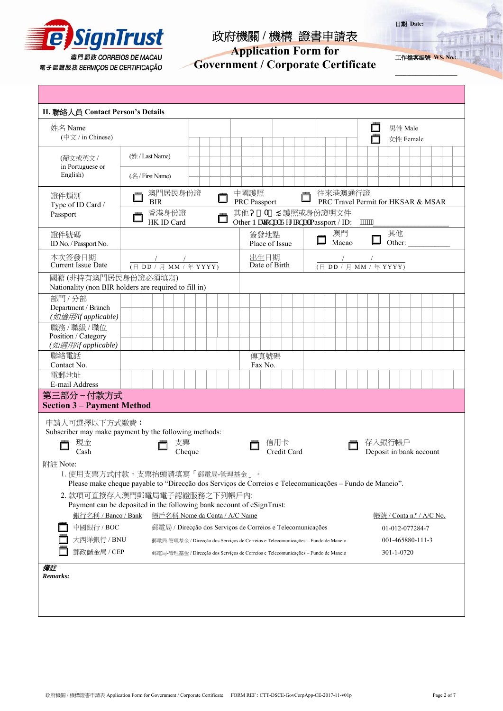

# **Application Form for**

**Government / Corporate Certificate** 

工作檔案編號 **WS. No.:**

**\_\_\_\_\_\_\_\_\_\_\_\_\_\_\_\_\_** 

**\_\_\_\_\_\_\_\_\_\_\_\_\_\_\_\_\_\_\_\_\_**

日期 **Date:** 

| II. 聯絡人員 Contact Person's Details                                                                                                                                                                                 |                        |                 |  |                                                            |                                 |    |  |                                                                                                                                                                        |  |  |  |                                                                |                        |                 |                                    |  |  |  |  |                        |                                |  |  |              |  |  |         |                 |  |  |  |  |
|-------------------------------------------------------------------------------------------------------------------------------------------------------------------------------------------------------------------|------------------------|-----------------|--|------------------------------------------------------------|---------------------------------|----|--|------------------------------------------------------------------------------------------------------------------------------------------------------------------------|--|--|--|----------------------------------------------------------------|------------------------|-----------------|------------------------------------|--|--|--|--|------------------------|--------------------------------|--|--|--------------|--|--|---------|-----------------|--|--|--|--|
| 姓名 Name<br>(中文 / in Chinese)                                                                                                                                                                                      |                        |                 |  |                                                            |                                 |    |  |                                                                                                                                                                        |  |  |  |                                                                |                        |                 |                                    |  |  |  |  |                        |                                |  |  |              |  |  | 男性 Male | 女性 Female       |  |  |  |  |
| (葡文或英文/<br>in Portuguese or<br>English)                                                                                                                                                                           |                        | (姓 / Last Name) |  |                                                            |                                 |    |  |                                                                                                                                                                        |  |  |  |                                                                |                        |                 |                                    |  |  |  |  |                        |                                |  |  |              |  |  |         |                 |  |  |  |  |
|                                                                                                                                                                                                                   |                        | (名/First Name)  |  |                                                            |                                 |    |  |                                                                                                                                                                        |  |  |  |                                                                |                        |                 |                                    |  |  |  |  |                        |                                |  |  |              |  |  |         |                 |  |  |  |  |
| 證件類別<br>Type of ID Card /                                                                                                                                                                                         | 澳門居民身份證<br><b>BIR</b>  |                 |  |                                                            | 中國護照<br>往來港澳通行證<br>PRC Passport |    |  |                                                                                                                                                                        |  |  |  |                                                                |                        |                 | PRC Travel Permit for HKSAR & MSAR |  |  |  |  |                        |                                |  |  |              |  |  |         |                 |  |  |  |  |
| Passport                                                                                                                                                                                                          |                        |                 |  | 香港身份證<br>HK ID Card                                        |                                 |    |  |                                                                                                                                                                        |  |  |  | 其他<br>А<br>護照或身份證明文件<br>Other P cykpenIT gi kpenPassport / ID: |                        |                 |                                    |  |  |  |  |                        |                                |  |  |              |  |  |         |                 |  |  |  |  |
| 證件號碼<br>ID No. / Passport No.                                                                                                                                                                                     |                        |                 |  |                                                            |                                 |    |  |                                                                                                                                                                        |  |  |  |                                                                | 簽發地點<br>Place of Issue |                 |                                    |  |  |  |  |                        | 澳門<br>Macao                    |  |  | 其他<br>Other: |  |  |         |                 |  |  |  |  |
| 本次簽發日期<br><b>Current Issue Date</b>                                                                                                                                                                               | (日 DD / 月 MM / 年 YYYY) |                 |  |                                                            |                                 |    |  |                                                                                                                                                                        |  |  |  | 出生日期<br>Date of Birth                                          |                        |                 |                                    |  |  |  |  | (日 DD / 月 MM / 年 YYYY) |                                |  |  |              |  |  |         |                 |  |  |  |  |
| 國籍(非持有澳門居民身份證必須填寫)<br>Nationality (non BIR holders are required to fill in)                                                                                                                                       |                        |                 |  |                                                            |                                 |    |  |                                                                                                                                                                        |  |  |  |                                                                |                        |                 |                                    |  |  |  |  |                        |                                |  |  |              |  |  |         |                 |  |  |  |  |
| 部門/分部<br>Department / Branch<br>(如適用/if applicable)                                                                                                                                                               |                        |                 |  |                                                            |                                 |    |  |                                                                                                                                                                        |  |  |  |                                                                |                        |                 |                                    |  |  |  |  |                        |                                |  |  |              |  |  |         |                 |  |  |  |  |
| 職務 / 職級 / 職位<br>Position / Category                                                                                                                                                                               |                        |                 |  |                                                            |                                 |    |  |                                                                                                                                                                        |  |  |  |                                                                |                        |                 |                                    |  |  |  |  |                        |                                |  |  |              |  |  |         |                 |  |  |  |  |
| (如適用/if applicable)<br>聯絡電話<br>Contact No.                                                                                                                                                                        |                        |                 |  |                                                            |                                 |    |  |                                                                                                                                                                        |  |  |  |                                                                |                        | 傳真號碼<br>Fax No. |                                    |  |  |  |  |                        |                                |  |  |              |  |  |         |                 |  |  |  |  |
| 電郵地址<br>E-mail Address                                                                                                                                                                                            |                        |                 |  |                                                            |                                 |    |  |                                                                                                                                                                        |  |  |  |                                                                |                        |                 |                                    |  |  |  |  |                        |                                |  |  |              |  |  |         |                 |  |  |  |  |
| 第三部分-付款方式<br><b>Section 3 - Payment Method</b>                                                                                                                                                                    |                        |                 |  |                                                            |                                 |    |  |                                                                                                                                                                        |  |  |  |                                                                |                        |                 |                                    |  |  |  |  |                        |                                |  |  |              |  |  |         |                 |  |  |  |  |
| 申請人可選擇以下方式繳費:<br>Subscriber may make payment by the following methods:<br>現金                                                                                                                                      |                        |                 |  |                                                            |                                 | 支票 |  |                                                                                                                                                                        |  |  |  |                                                                |                        |                 | 信用卡                                |  |  |  |  |                        |                                |  |  | 存入銀行帳戶       |  |  |         |                 |  |  |  |  |
| Cash<br>Credit Card<br>Deposit in bank account<br>Cheque<br>附註 Note:<br>1. 使用支票方式付款,支票抬頭請填寫「郵電局-管理基金」。<br>Please make cheque payable to "Direcção dos Serviços de Correios e Telecomunicações - Fundo de Maneio". |                        |                 |  |                                                            |                                 |    |  |                                                                                                                                                                        |  |  |  |                                                                |                        |                 |                                    |  |  |  |  |                        |                                |  |  |              |  |  |         |                 |  |  |  |  |
| 2. 款項可直接存入澳門郵電局電子認證服務之下列帳戶內:<br>Payment can be deposited in the following bank account of eSignTrust:<br>銀行名稱 / Banco / Bank<br>帳戶名稱 Nome da Conta / A/C Name<br>帳號 / Conta n.º / A/C No.                         |                        |                 |  |                                                            |                                 |    |  |                                                                                                                                                                        |  |  |  |                                                                |                        |                 |                                    |  |  |  |  |                        |                                |  |  |              |  |  |         |                 |  |  |  |  |
| 中國銀行 / BOC                                                                                                                                                                                                        |                        |                 |  | 郵電局 / Direcção dos Serviços de Correios e Telecomunicações |                                 |    |  |                                                                                                                                                                        |  |  |  |                                                                |                        |                 |                                    |  |  |  |  |                        |                                |  |  |              |  |  |         | 01-012-077284-7 |  |  |  |  |
| 大西洋銀行 / BNU<br>郵政儲金局 / CEP                                                                                                                                                                                        |                        |                 |  |                                                            |                                 |    |  | 郵電局-管理基金 / Direcção dos Serviços de Correios e Telecomunicações – Fundo de Maneio<br>郵電局-管理基金 / Direcção dos Serviços de Correios e Telecomunicações – Fundo de Maneio |  |  |  |                                                                |                        |                 |                                    |  |  |  |  |                        | 001-465880-111-3<br>301-1-0720 |  |  |              |  |  |         |                 |  |  |  |  |
| 備註<br>Remarks:                                                                                                                                                                                                    |                        |                 |  |                                                            |                                 |    |  |                                                                                                                                                                        |  |  |  |                                                                |                        |                 |                                    |  |  |  |  |                        |                                |  |  |              |  |  |         |                 |  |  |  |  |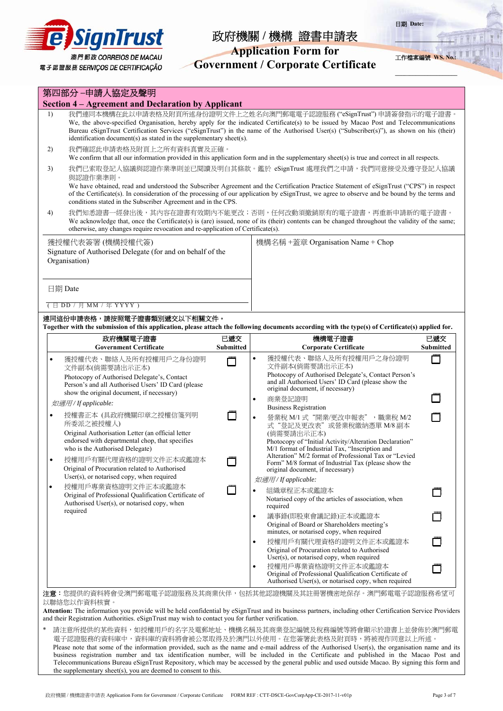

# **Application Form for**

**Government / Corporate Certificate** 



**\_\_\_\_\_\_\_\_\_\_\_\_\_\_\_\_\_\_\_\_\_**

日期 **Date:** 

工作檔案編號 **WS. No.:**

|        | 第四部分-申請人協定及聲明                                                                                                                                                                                                                                                                                                                                                                                                                              |                         |                                                                                                                                                                                                                                                                                                                                                         |                  |  |  |  |  |  |  |  |  |
|--------|--------------------------------------------------------------------------------------------------------------------------------------------------------------------------------------------------------------------------------------------------------------------------------------------------------------------------------------------------------------------------------------------------------------------------------------------|-------------------------|---------------------------------------------------------------------------------------------------------------------------------------------------------------------------------------------------------------------------------------------------------------------------------------------------------------------------------------------------------|------------------|--|--|--|--|--|--|--|--|
|        | <b>Section 4 - Agreement and Declaration by Applicant</b>                                                                                                                                                                                                                                                                                                                                                                                  |                         |                                                                                                                                                                                                                                                                                                                                                         |                  |  |  |  |  |  |  |  |  |
| 1)     | identification document(s) as stated in the supplementary sheet(s).                                                                                                                                                                                                                                                                                                                                                                        |                         | 我們連同本機構在此以申請表格及附頁所述身份證明文件上之姓名向澳門郵電電子認證服務("eSignTrust")申請簽發指示的電子證書。<br>We, the above-specified Organisation, hereby apply for the indicated Certificate(s) to be issued by Macao Post and Telecommunications<br>Bureau eSignTrust Certification Services ("eSignTrust") in the name of the Authorised User(s) ("Subscriber(s)"), as shown on his (their) |                  |  |  |  |  |  |  |  |  |
| 2)     | 我們確認此申請表格及附頁上之所有資料真實及正確。<br>We confirm that all our information provided in this application form and in the supplementary sheet(s) is true and correct in all respects.                                                                                                                                                                                                                                                                   |                         |                                                                                                                                                                                                                                                                                                                                                         |                  |  |  |  |  |  |  |  |  |
| 3)     | 我們已索取登記人協議與認證作業準則並已閱讀及明白其條款。鑑於 eSignTrust 處理我們之申請,我們同意接受及遵守登記人協議<br>與認證作業準則。<br>We have obtained, read and understood the Subscriber Agreement and the Certification Practice Statement of eSignTrust ("CPS") in respect<br>of the Certificate(s). In consideration of the processing of our application by eSignTrust, we agree to observe and be bound by the terms and<br>conditions stated in the Subscriber Agreement and in the CPS. |                         |                                                                                                                                                                                                                                                                                                                                                         |                  |  |  |  |  |  |  |  |  |
| 4)     | 我們知悉證書一經發出後,其內容在證書有效期內不能更改;否則,任何改動須撤銷原有的電子證書,再重新申請新的電子證書。<br>We acknowledge that, once the Certificate(s) is (are) issued, none of its (their) contents can be changed throughout the validity of the same;<br>otherwise, any changes require revocation and re-application of Certificate(s).                                                                                                                                             |                         |                                                                                                                                                                                                                                                                                                                                                         |                  |  |  |  |  |  |  |  |  |
|        | 獲授權代表簽署(機構授權代簽)<br>Signature of Authorised Delegate (for and on behalf of the<br>Organisation)                                                                                                                                                                                                                                                                                                                                             |                         | 機構名稱 +蓋章 Organisation Name + Chop                                                                                                                                                                                                                                                                                                                       |                  |  |  |  |  |  |  |  |  |
|        | 日期 Date                                                                                                                                                                                                                                                                                                                                                                                                                                    |                         |                                                                                                                                                                                                                                                                                                                                                         |                  |  |  |  |  |  |  |  |  |
|        | (日 DD / 月 MM / 年 YYYY)                                                                                                                                                                                                                                                                                                                                                                                                                     |                         |                                                                                                                                                                                                                                                                                                                                                         |                  |  |  |  |  |  |  |  |  |
|        | 連同這份申請表格,請按照電子證書類別遞交以下相關文件。                                                                                                                                                                                                                                                                                                                                                                                                                |                         | Together with the submission of this application, please attach the following documents according with the type(s) of Certificate(s) applied for.                                                                                                                                                                                                       |                  |  |  |  |  |  |  |  |  |
|        | 政府機關電子證書<br><b>Government Certificate</b>                                                                                                                                                                                                                                                                                                                                                                                                  | 已遞交<br><b>Submitted</b> | 機構電子證書                                                                                                                                                                                                                                                                                                                                                  | 已遞交              |  |  |  |  |  |  |  |  |
|        |                                                                                                                                                                                                                                                                                                                                                                                                                                            |                         | <b>Corporate Certificate</b>                                                                                                                                                                                                                                                                                                                            | <b>Submitted</b> |  |  |  |  |  |  |  |  |
| ٠      | 獲授權代表、聯絡人及所有授權用戶之身份證明<br>文件副本(倘需要請出示正本)<br>Photocopy of Authorised Delegate's, Contact<br>Person's and all Authorised Users' ID Card (please                                                                                                                                                                                                                                                                                               |                         | 獲授權代表、聯絡人及所有授權用戶之身份證明<br>$\bullet$<br>文件副本(倘需要請出示正本)<br>Photocopy of Authorised Delegate's, Contact Person's<br>and all Authorised Users' ID Card (please show the                                                                                                                                                                                      |                  |  |  |  |  |  |  |  |  |
|        | show the original document, if necessary)<br>如適用/ If applicable:                                                                                                                                                                                                                                                                                                                                                                           |                         | original document, if necessary)<br>商業登記證明<br>$\bullet$                                                                                                                                                                                                                                                                                                 |                  |  |  |  |  |  |  |  |  |
| ٠<br>٠ | 授權書正本 (具政府機關印章之授權信箋列明<br>所委派之被授權人)<br>Original Authorisation Letter (an official letter<br>endorsed with departmental chop, that specifies<br>who is the Authorised Delegate)<br>授權用戶有關代理資格的證明文件正本或鑑證本                                                                                                                                                                                                                                     |                         | <b>Business Registration</b><br>營業稅 M/1 式"開業/更改申報表", 職業稅 M/2<br>$\bullet$<br>式"登記及更改表"或營業稅繳納憑單 M/8 副本<br>(倘需要請出示正本)<br>Photocopy of "Initial Activity/Alteration Declaration"<br>M/1 format of Industrial Tax, "Inscription and<br>Alteration" M/2 format of Professional Tax or "Levied                                                                |                  |  |  |  |  |  |  |  |  |
|        | Original of Procuration related to Authorised<br>User(s), or notarised copy, when required                                                                                                                                                                                                                                                                                                                                                 |                         | Form" M/8 format of Industrial Tax (please show the<br>original document, if necessary)                                                                                                                                                                                                                                                                 |                  |  |  |  |  |  |  |  |  |
| ٠      | 授權用戶專業資格證明文件正本或鑑證本<br>Original of Professional Qualification Certificate of<br>Authorised User(s), or notarised copy, when                                                                                                                                                                                                                                                                                                                 |                         | 如適用/ If applicable:<br>組織章程正本或鑑證本<br>٠<br>Notarised copy of the articles of association, when<br>required                                                                                                                                                                                                                                               |                  |  |  |  |  |  |  |  |  |
|        | required                                                                                                                                                                                                                                                                                                                                                                                                                                   |                         | 議事錄(即股東會議記錄)正本或鑑證本<br>$\bullet$<br>Original of Board or Shareholders meeting's<br>minutes, or notarised copy, when required                                                                                                                                                                                                                             |                  |  |  |  |  |  |  |  |  |
|        |                                                                                                                                                                                                                                                                                                                                                                                                                                            |                         | 授權用戶有關代理資格的證明文件正本或鑑證本<br>$\bullet$<br>Original of Procuration related to Authorised<br>$User(s)$ , or notarised copy, when required                                                                                                                                                                                                                     |                  |  |  |  |  |  |  |  |  |
|        |                                                                                                                                                                                                                                                                                                                                                                                                                                            |                         | 授權用戶專業資格證明文件正本或鑑證本<br>$\bullet$<br>Original of Professional Qualification Certificate of<br>Authorised User(s), or notarised copy, when required                                                                                                                                                                                                        |                  |  |  |  |  |  |  |  |  |

\* 請注意所提供的某些資料,如授權用戶的名字及電郵地址、機構名稱及其商業登記編號及稅務編號等將會顯示於證書上並發佈於澳門郵電 電子認證服務的資料庫中,資料庫的資料將會被公眾取得及於澳門以外使用。在您簽署此表格及附頁時,將被視作同意以上所述。 Please note that some of the information provided, such as the name and e-mail address of the Authorised User(s), the organisation name and its business registration number and tax identification number, will be included in the Certificate and published in the Macao Post and Telecommunications Bureau eSignTrust Repository, which may be accessed by the general public and used outside Macao. By signing this form and the supplementary sheet(s), you are deemed to consent to this.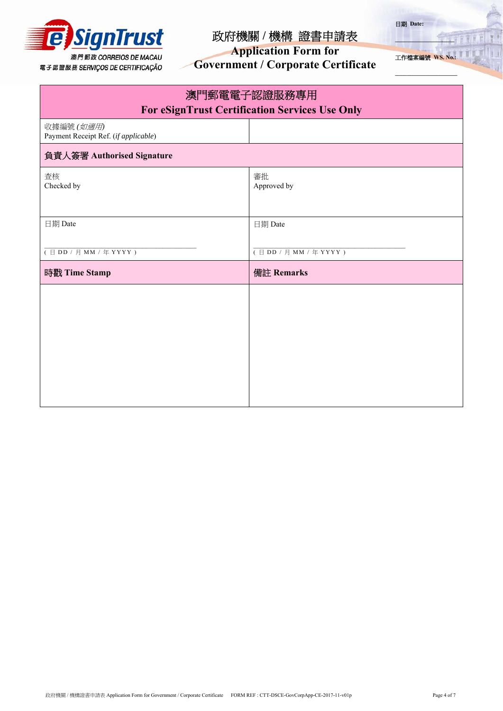

**Application Form for** 

**Government / Corporate Certificate** 

工作檔案編號 **WS. No.:**

**\_\_\_\_\_\_\_\_\_\_\_\_\_\_\_\_\_** 

**\_\_\_\_\_\_\_\_\_\_\_\_\_\_\_\_\_\_\_\_\_**

日期 **Date:** 

| 澳門郵電電子認證服務專用<br><b>For eSignTrust Certification Services Use Only</b> |                                              |  |  |  |  |  |  |  |  |
|-----------------------------------------------------------------------|----------------------------------------------|--|--|--|--|--|--|--|--|
| 收據編號 (如適用)<br>Payment Receipt Ref. (if applicable)                    |                                              |  |  |  |  |  |  |  |  |
| 負責人簽署 Authorised Signature                                            |                                              |  |  |  |  |  |  |  |  |
| 查核<br>Checked by                                                      | 審批<br>Approved by                            |  |  |  |  |  |  |  |  |
| 日期 Date                                                               | 日期 Date                                      |  |  |  |  |  |  |  |  |
| $(\exists DD / \exists MM / \text{# } YYYY)$                          | $(\exists DD / \exists MM / \text{# } YYYY)$ |  |  |  |  |  |  |  |  |
| 時戳 Time Stamp                                                         | 備註 Remarks                                   |  |  |  |  |  |  |  |  |
|                                                                       |                                              |  |  |  |  |  |  |  |  |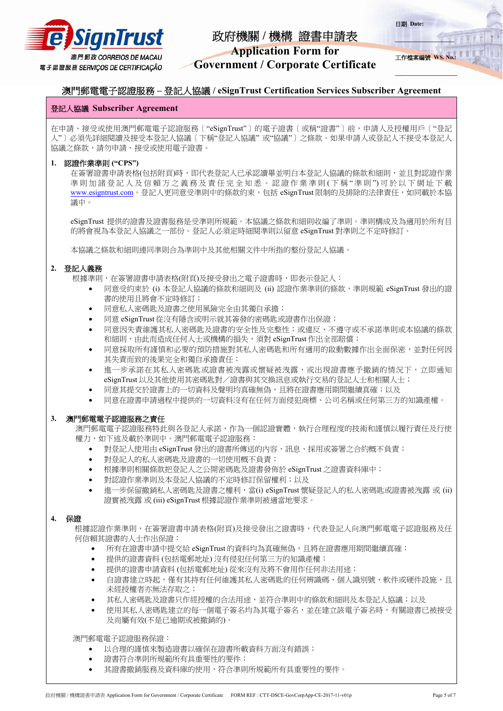

# **Application Form for**

**Government / Corporate Certificate** 



**\_\_\_\_\_\_\_\_\_\_\_\_\_\_\_\_\_** 

**\_\_\_\_\_\_\_\_\_\_\_\_\_\_\_\_\_\_\_\_\_**

日期 **Date:** 

## 澳門郵電電子認證服務 **–** 登記人協議 **/ eSignTrust Certification Services Subscriber Agreement**

## 登記人協議 **Subscriber Agreement**

在申請、接受或使用澳門郵電電子認證服務〔"eSignTrust"〕的電子證書〔或稱"證書"〕前,申請人及授權用戶〔"登記 人"〕必須先詳細閱讀及接受本登記人協議〔下稱"登記人協議" 或"協議"〕之條款。如果申請人或登記人不接受本登記人 協議之條款,請勿申請、接受或使用電子證書。

## **1.** 認證作業準則 **("CPS")**

在簽署證書申請表格(包括附頁)時,即代表登記人已承認讀畢並明白本登記人協議的條款和細則,並且對認證作業 準則加諸登記人及信賴方之義務及責任完全知悉。認證作業準則(下稱"準則")可於以下網址下載 www.esigntrust.com。登記人更同意受準則中的條款約束,包括 eSignTrust 限制的及排除的法律責任,如同載於本協 議中。

eSignTrust 提供的證書及證書服務是受準則所規範。本協議之條款和細則收編了準則。準則構成及為適用於所有目 的將會視為本登記人協議之一部份。登記人必須定時細閱準則以留意 eSignTrust 對準則之不定時修訂。

本協議之條款和細則連同準則合為準則中及其他相關文件中所指的整份登記人協議。

## **2.** 登記人義務

- 根據準則,在簽署證書申請表格(附頁)及接受發出之電子證書時,即表示登記人:
	- 同意受約束於 (i) 本登記人協議的條款和細則及 (ii) 認證作業準則的條款,準則規範 eSignTrust 發出的證 書的使用且將會不定時修訂;
	- 同意私人密碼匙及證書之使用風險完全由其獨自承擔;
	- 同意 eSignTrust 從沒有隱含或明示就其簽發的密碼匙或證書作出保證;
	- 同意因失責維護其私人密碼匙及證書的安全性及完整性;或違反、不遵守或不承諾準則或本協議的條款 和細則,由此而造成任何人士或機構的損失,須對 eSignTrust 作出全部賠償;
	- 同意採取所有謹慎和必要的預防措施對其私人密碼匙和所有適用的啟動數據作出全面保密,並對任何因 其失責而致的後果完全和獨自承擔責任;
	- 進一步承諾在其私人密碼匙或證書被洩露或懷疑被洩露,或出現證書應予撤銷的情況下,立即通知 eSignTrust 以及其他使用其密碼匙對/證書與其交換訊息或執行交易的登記人士和相關人士;
	- 同意其提交於證書上的一切資料及聲明均真確無偽,且將在證書應用期間繼續真確;以及
	- 同意在證書申請過程中提供的一切資料沒有在任何方面侵犯商標、公司名稱或任何第三方的知識產權。

## **3.** 澳門郵電電子認證服務之責任

澳門郵電電子認證服務特此與各登記人承諾,作為一個認證實體,執行合理程度的技術和謹慎以履行責任及行使 權力,如下述及載於準則中。澳門郵電電子認證服務:

- 對登記人使用由 eSignTrust 發出的證書所傳送的內容、訊息、採用或簽署之合約概不負責;
- 對登記人的私人密碼匙及證書的一切使用概不負責;
- 根據準則相關條款把登記人之公開密碼匙及證書發佈於 eSignTrust 之證書資料庫中;
- 對認證作業準則及本登記人協議的不定時修訂保留權利;以及
- 進一步保留撤銷私人密碼匙及證書之權利,當(i) eSignTrust 懷疑登記人的私人密碼匙或證書被洩露 或 (ii) 證實被洩露 或 (iii) eSignTrust 根據認證作業準則被適當地要求。

### **4.** 保證

根據認證作業準則,在簽署證書申請表格(附頁)及接受發出之證書時,代表登記人向澳門郵電電子認證服務及任 何信賴其證書的人士作出保證:

- 所有在證書申請中提交給 eSignTrust 的資料均為真確無偽,且將在證書應用期間繼續真確;
- 提供的證書資料 (包括電郵地址) 沒有侵犯任何第三方的知識產權;
- 提供的證書申請資料 (包括電郵地址) 從來沒有及將不會用作任何非法用途;
- 自證書建立時起,僅有其持有任何維護其私人密碼匙的任何辨識碼、個人識別號、軟件或硬件設施,且 未經授權者亦無法存取之;
- 其私人密碼匙及證書只作經授權的合法用途,並符合準則中的條款和細則及本登記人協議;以及
- 使用其私人密碼匙建立的每一個電子簽名均為其電子簽名,並在建立該電子簽名時,有關證書已被接受 及尚屬有效(不是已逾期或被撤銷的)。

澳門郵電電子認證服務保證:

- 以合理的謹慎來製造證書以確保在證書所載資料方面沒有錯誤;
- 證書符合準則所規範所有具重要性的要件;
- 其證書撤銷服務及資料庫的使用,符合準則所規範所有具重要性的要件。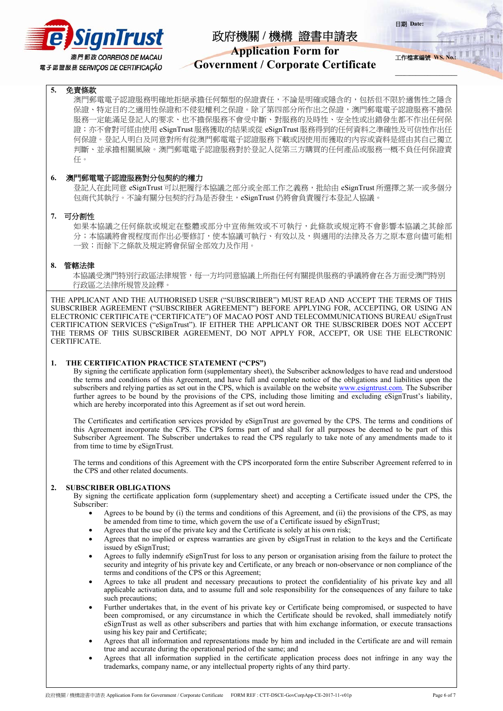

## **Application Form for**

**Government / Corporate Certificate** 

**\_\_\_\_\_\_\_\_\_\_\_\_\_\_\_\_\_** 工作檔案編號 **WS. No.:**

**\_\_\_\_\_\_\_\_\_\_\_\_\_\_\_\_\_\_\_\_\_**

日期 **Date:** 

## **5.** 免責條款

澳門郵電電子認證服務明確地拒絕承擔任何類型的保證責任,不論是明確或隱含的,包括但不限於適售性之隱含 保證、特定目的之適用性保證和不侵犯權利之保證。除了第四部分所作出之保證,澳門郵電電子認證服務不擔保 服務一定能滿足登記人的要求、也不擔保服務不會受中斷、對服務的及時性、安全性或出錯發生都不作出任何保 證;亦不會對可經由使用 eSignTrust 服務獲取的結果或從 eSignTrust 服務得到的任何資料之準確性及可信性作出任 何保證。登記人明白及同意對所有從澳門郵電電子認證服務下載或因使用而獲取的內容或資料是經由其自己獨立 判斷、並承擔相關風險。澳門郵電電子認證服務對於登記人從第三方購買的任何產品或服務一概不負任何保證責 任。

### **6.** 澳門郵電電子認證服務對分包契約的權力

登記人在此同意 eSignTrust 可以把履行本協議之部分或全部工作之義務,批給由 eSignTrust 所選擇之某一或多個分 包商代其執行。不論有關分包契約行為是否發生, eSignTrust 仍將會負責履行本登記人協議。

### **7.** 可分割性

如果本協議之任何條款或規定在整體或部分中宣佈無效或不可執行,此條款或規定將不會影響本協議之其餘部 分;本協議將會視程度而作出必要修訂,使本協議可執行、有效以及,與適用的法律及各方之原本意向儘可能相 一致;而餘下之條款及規定將會保留全部效力及作用。

### **8.** 管轄法律

本協議受澳門特別行政區法律規管,每一方均同意協議上所指任何有關提供服務的爭議將會在各方面受澳門特別 行政區之法律所規管及詮釋。

THE APPLICANT AND THE AUTHORISED USER ("SUBSCRIBER") MUST READ AND ACCEPT THE TERMS OF THIS SUBSCRIBER AGREEMENT ("SUBSCRIBER AGREEMENT") BEFORE APPLYING FOR, ACCEPTING, OR USING AN ELECTRONIC CERTIFICATE ("CERTIFICATE") OF MACAO POST AND TELECOMMUNICATIONS BUREAU eSignTrust CERTIFICATION SERVICES ("eSignTrust"). IF EITHER THE APPLICANT OR THE SUBSCRIBER DOES NOT ACCEPT THE TERMS OF THIS SUBSCRIBER AGREEMENT, DO NOT APPLY FOR, ACCEPT, OR USE THE ELECTRONIC CERTIFICATE.

### **1. THE CERTIFICATION PRACTICE STATEMENT ("CPS")**

By signing the certificate application form (supplementary sheet), the Subscriber acknowledges to have read and understood the terms and conditions of this Agreement, and have full and complete notice of the obligations and liabilities upon the subscribers and relying parties as set out in the CPS, which is available on the website www.esigntrust.com. The Subscriber further agrees to be bound by the provisions of the CPS, including those limiting and excluding eSignTrust's liability, which are hereby incorporated into this Agreement as if set out word herein.

The Certificates and certification services provided by eSignTrust are governed by the CPS. The terms and conditions of this Agreement incorporate the CPS. The CPS forms part of and shall for all purposes be deemed to be part of this Subscriber Agreement. The Subscriber undertakes to read the CPS regularly to take note of any amendments made to it from time to time by eSignTrust.

The terms and conditions of this Agreement with the CPS incorporated form the entire Subscriber Agreement referred to in the CPS and other related documents.

### **2. SUBSCRIBER OBLIGATIONS**

By signing the certificate application form (supplementary sheet) and accepting a Certificate issued under the CPS, the Subscriber:

- Agrees to be bound by (i) the terms and conditions of this Agreement, and (ii) the provisions of the CPS, as may be amended from time to time, which govern the use of a Certificate issued by eSignTrust;
- Agrees that the use of the private key and the Certificate is solely at his own risk;
- Agrees that no implied or express warranties are given by eSignTrust in relation to the keys and the Certificate issued by eSignTrust;
- Agrees to fully indemnify eSignTrust for loss to any person or organisation arising from the failure to protect the security and integrity of his private key and Certificate, or any breach or non-observance or non compliance of the terms and conditions of the CPS or this Agreement;
- Agrees to take all prudent and necessary precautions to protect the confidentiality of his private key and all applicable activation data, and to assume full and sole responsibility for the consequences of any failure to take such precautions;
- Further undertakes that, in the event of his private key or Certificate being compromised, or suspected to have been compromised, or any circumstance in which the Certificate should be revoked, shall immediately notify eSignTrust as well as other subscribers and parties that with him exchange information, or execute transactions using his key pair and Certificate;
- Agrees that all information and representations made by him and included in the Certificate are and will remain true and accurate during the operational period of the same; and
- Agrees that all information supplied in the certificate application process does not infringe in any way the trademarks, company name, or any intellectual property rights of any third party.